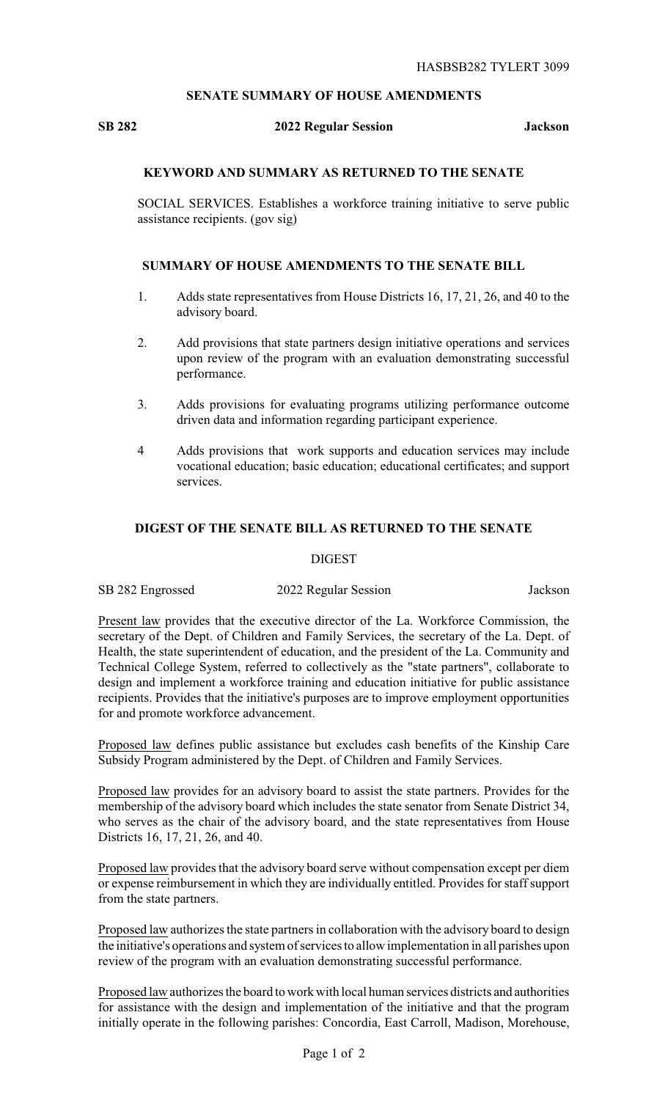# **SENATE SUMMARY OF HOUSE AMENDMENTS**

# **SB 282 2022 Regular Session Jackson**

# **KEYWORD AND SUMMARY AS RETURNED TO THE SENATE**

SOCIAL SERVICES. Establishes a workforce training initiative to serve public assistance recipients. (gov sig)

### **SUMMARY OF HOUSE AMENDMENTS TO THE SENATE BILL**

- 1. Adds state representatives from House Districts 16, 17, 21, 26, and 40 to the advisory board.
- 2. Add provisions that state partners design initiative operations and services upon review of the program with an evaluation demonstrating successful performance.
- 3. Adds provisions for evaluating programs utilizing performance outcome driven data and information regarding participant experience.
- 4 Adds provisions that work supports and education services may include vocational education; basic education; educational certificates; and support services.

#### **DIGEST OF THE SENATE BILL AS RETURNED TO THE SENATE**

#### **DIGEST**

| SB 282 Engrossed | 2022 Regular Session | Jackson |
|------------------|----------------------|---------|
|------------------|----------------------|---------|

Present law provides that the executive director of the La. Workforce Commission, the secretary of the Dept. of Children and Family Services, the secretary of the La. Dept. of Health, the state superintendent of education, and the president of the La. Community and Technical College System, referred to collectively as the "state partners", collaborate to design and implement a workforce training and education initiative for public assistance recipients. Provides that the initiative's purposes are to improve employment opportunities for and promote workforce advancement.

Proposed law defines public assistance but excludes cash benefits of the Kinship Care Subsidy Program administered by the Dept. of Children and Family Services.

Proposed law provides for an advisory board to assist the state partners. Provides for the membership of the advisory board which includes the state senator from Senate District 34, who serves as the chair of the advisory board, and the state representatives from House Districts 16, 17, 21, 26, and 40.

Proposed law provides that the advisory board serve without compensation except per diem or expense reimbursement in which they are individually entitled. Provides for staff support from the state partners.

Proposed law authorizes the state partners in collaboration with the advisory board to design the initiative's operations and system of services to allow implementation in all parishes upon review of the program with an evaluation demonstrating successful performance.

Proposed law authorizes the board to work with local human services districts and authorities for assistance with the design and implementation of the initiative and that the program initially operate in the following parishes: Concordia, East Carroll, Madison, Morehouse,